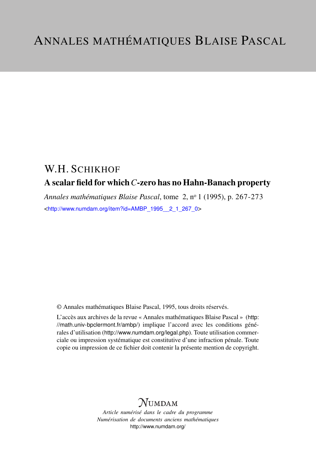# W.H. SCHIKHOF A scalar field for which*C*-zero has no Hahn-Banach property

*Annales mathématiques Blaise Pascal*, tome 2, n<sup>o</sup> 1 (1995), p. 267-273 <[http://www.numdam.org/item?id=AMBP\\_1995\\_\\_2\\_1\\_267\\_0](http://www.numdam.org/item?id=AMBP_1995__2_1_267_0)>

© Annales mathématiques Blaise Pascal, 1995, tous droits réservés.

L'accès aux archives de la revue « Annales mathématiques Blaise Pascal » ([http:](http://math.univ-bpclermont.fr/ambp/) [//math.univ-bpclermont.fr/ambp/](http://math.univ-bpclermont.fr/ambp/)) implique l'accord avec les conditions générales d'utilisation (<http://www.numdam.org/legal.php>). Toute utilisation commerciale ou impression systématique est constitutive d'une infraction pénale. Toute copie ou impression de ce fichier doit contenir la présente mention de copyright.

# **NUMDAM**

*Article numérisé dans le cadre du programme Numérisation de documents anciens mathématiques* <http://www.numdam.org/>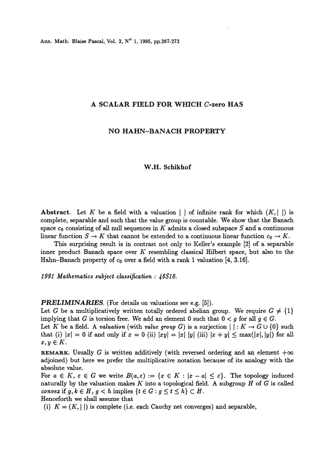## A SCALAR FIELD FOR WHICH C-zero HAS

### NO HAHN-BANACH PROPERTY

### W.H. Schikhof

**Abstract.** Let K be a field with a valuation  $\vert \cdot \vert$  of infinite rank for which  $(K, \vert \cdot \vert)$  is complete, separable and such that the value group is countable. We show that the Banach space  $c_0$  consisting of all null sequences in K admits a closed subspace S and a continuous linear function  $S \to K$  that cannot be extended to a continuous linear function  $c_0 \to K$ .

This surprising result is in contrast not only to Keller's example  $[2]$  of a separable inner product Banach space over  $K$  resembling classical Hilbert space, but also to the Hahn-Banach property of  $c_0$  over a field with a rank 1 valuation [4, 3.16].

1991 Mathematics subject classification :  $46S10$ .

PRELIMINARIES. (For details on valuations see e.g. [5]).

Let G be a multiplicatively written totally ordered abelian group. We require  $G \neq \{1\}$ implying that G is torsion free. We add an element 0 such that  $0 < g$  for all  $g \in G$ .

Let K be a field. A valuation (with value group G) is a surjection  $| \cdot : K \to G \cup \{0\}$  such that (i)  $|x| = 0$  if and only if  $x = 0$  (ii)  $|xy| = |x| |y|$  (iii)  $|x + y| \leq \max(|x|, |y|)$  for all  $x, y \in K$ .

**REMARK.** Usually G is written additively (with reversed ordering and an element  $+\infty$ adjoined) but here we prefer the multiplicative notation because of its analogy with the absolute value.

For  $a \in K$ ,  $\varepsilon \in G$  we write  $B(a,\varepsilon) := \{x \in K : |x-a| \leq \varepsilon\}$ . The topology induced naturally by the valuation makes K into a topological field. A subgroup  $H$  of  $G$  is called convex if  $g, k \in H, g < h$  implies  $\{t \in G : g \leq t \leq h\} \subset H$ .

Henceforth we shall assume that

(i)  $K = (K, ||)$  is complete (i.e. each Cauchy net converges) and separable,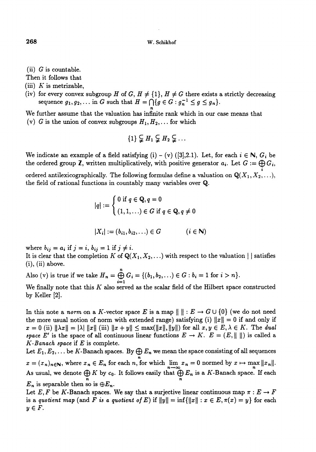- (ii)  $G$  is countable.
- Then it follows that
- (iii)  $K$  is metrizable,
- (iv) for every convex subgroup H of G,  $H \neq \{1\}$ ,  $H \neq G$  there exists a strictly decreasing sequence  $g_1, g_2,...$  in G such that  $H = \bigcap \{g \in G : g_n^{-1} \leq g \leq g_n\}.$
- We further assume that the valuation has infinite rank which in our case means that (v) G is the union of convex subgroups  $H_1, H_2, \ldots$  for which

$$
\{1\} \subsetneq H_1 \subsetneq H_2 \subsetneq \ldots
$$

We indicate an example of a field satisfying (i) – (v) ([3],2.1). Let, for each  $i \in \mathbb{N}$ ,  $G_i$  be the ordered group Z, written multiplicatively, with positive generator  $a_i$ . Let  $G := \bigoplus_i G_i$ ,

ordered antilexicographically. The following formulas define a valuation on  $\mathbb{Q}(X_1, X_2, \ldots)$ , the field of rational functions in countably many variables over Q.

$$
|q| := \begin{cases} 0 \text{ if } q \in \mathbf{Q}, q = 0 \\ (1, 1, \ldots) \in G \text{ if } q \in \mathbf{Q}, q \neq 0 \end{cases}
$$

$$
|X_i| := (b_{i1}, b_{i2}, \ldots) \in G \qquad (i \in \mathbb{N})
$$

where  $b_{ij} = a_i$  if  $j = i$ ,  $b_{ij} = 1$  if  $j \neq i$ .

It is clear that the completion K of  $\mathbb{Q}(X_1, X_2, \ldots)$  with respect to the valuation | | satisfies  $(i)$ ,  $(ii)$  above.

Also (v) is true if we take  $H_n = \bigoplus_{i=1}^n G_i = \{(b_1, b_2, \ldots) \in G : b_i = 1 \text{ for } i > n\}.$ 

We finally note that this  $K$  also served as the scalar field of the Hilbert space constructed by Keller [2].

In this note a norm on a K-vector space E is a map  $\| \cdot : E \to G \cup \{0\}$  (we do not need the more usual notion of norm with extended range) satisfying (i)  $||x|| = 0$  if and only if  $x = 0$  (ii)  $\|\lambda x\| = |\lambda| \|x\|$  (iii)  $\|x + y\| \leq \max(\|x\|, \|y\|)$  for all  $x, y \in E, \lambda \in K$ . The dual space E' is the space of all continuous linear functions  $E \to K$ .  $E = (E, || ||)$  is called a  $K$ -Banach space if  $E$  is complete.

Let  $E_1, E_2, \ldots$  be K-Banach spaces. By  $\bigoplus E_n$  we mean the space consisting of all sequences  $x = (x_n)_{n \in \mathbb{N}}$ , where  $x_n \in E_n$  for each n, for which  $\lim_{n \to \infty} x_n = 0$  normed by  $x \mapsto \max_n ||x_n||$ . As usual, we denote  $\bigoplus_{n} K$  by  $c_0$ . It follows easily that  $\bigoplus_{n} E_n$  is a K-Banach space. If each  $E_n$  is separable then so is  $\oplus E_n$ .

Let E, F be K-Banach spaces. We say that a surjective linear continuous map  $\pi : E \to F$ is a quotient map (and F is a quotient of E) if  $||y|| = \inf{||x|| : x \in E, \pi(x) = y}$  for each  $y \in F$ .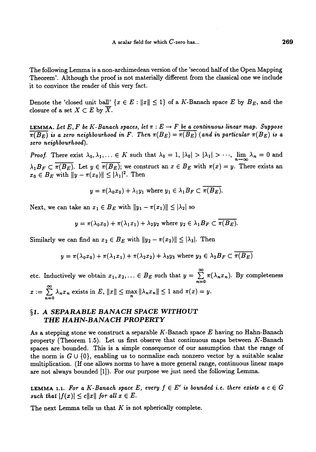The following Lemma is a non-archimedean version of the 'second half of the Open Mapping Theorem'. Although the proof is not materially different from the classical one we include it to convince the reader of this very fact.

Denote the 'closed unit ball'  $\{x \in E : ||x|| \leq 1\}$  of a K-Banach space E by  $B_E$ , and the closure of a set  $X \subset E$  by  $\overline{X}$ .

LEMMA. Let E, F be K-Banach spaces, let  $\pi : E \to F$  be a continuous linear map. Suppose  $\overline{\pi(B_E)}$  is a zero neighbourhood in F. Then  $\pi(B_E) = \overline{\pi(B_E)}$  (and in particular  $\pi(B_E)$  is a zero neighbourhood).

*Proof.* There exist  $\lambda_0, \lambda_1, \ldots \in K$  such that  $\lambda_0 = 1, |\lambda_0| > |\lambda_1| > \cdots$ ,  $\lim_{n \to \infty} \lambda_n = 0$  and  $\lambda_1 B_F \subset \overline{\pi(B_E)}$ . Let  $y \in \overline{\pi(B_E)}$ ; we construct an  $x \in B_E$  with  $\pi(x) = y$ . There exists an  $x_0 \in B_E$  with  $||y - \pi(x_0)|| \leq |\lambda_1|^2$ . Then

$$
y = \pi(\lambda_0 x_0) + \lambda_1 y_1 \text{ where } y_1 \in \lambda_1 B_F \subset \overline{\pi(B_E)}.
$$

Next, we can take an  $x_1 \in B_E$  with  $||y_1 - \pi(x_1)|| \leq |\lambda_2|$  so

$$
y = \pi(\lambda_0 x_0) + \pi(\lambda_1 x_1) + \lambda_2 y_2
$$
 where  $y_2 \in \lambda_1 B_F \subset \overline{\pi(B_E)}$ .

Similarly we can find an  $x_2 \in B_E$  with  $||y_2 - \pi(x_2)|| \leq |\lambda_3|$ . Then

$$
y = \pi(\lambda_0 x_0) + \pi(\lambda_1 x_1) + \pi(\lambda_2 x_2) + \lambda_3 y_3
$$
 where  $y_3 \in \lambda_2 B_F \subset \overline{\pi(B_E)}$ 

 $\infty$ etc. Inductively we obtain  $x_1, x_2, ... \in B_E$  such that  $y = \sum_{n=0}^{\infty} \pi(\lambda_n x_n)$ . By completeness  $x := \sum_{n=0}^{\infty} \lambda_n x_n$  exists in E,  $||x|| \le \max_n ||\lambda_n x_n|| \le 1$  and  $\pi(x) = y$ .

# §1. A SEPARABLE BANACH SPACE WITHOUT THE HAHN-BANACH PROPERTY

As a stepping stone we construct a separable  $K$ -Banach space  $E$  having no Hahn-Banach property (Theorem 1.5). Let us first observe that continuous maps between K-Banach spaces are bounded. This is a simple consequence of our assumption that the range of the norm is  $G \cup \{0\}$ , enabling us to normalize each nonzero vector by a suitable scalar multiplication. (If one allows norms to have a more general range, continuous linear maps are not always bounded [1]). For our purpose we just need the following Lemma.

LEMMA 1.1. For a K-Banach space E, every  $f \in E'$  is bounded i.e. there exists a  $c \in G$ such that  $|f(x)| \leq c||x||$  for all  $x \in E$ .

The next Lemma tells us that  $K$  is not spherically complete.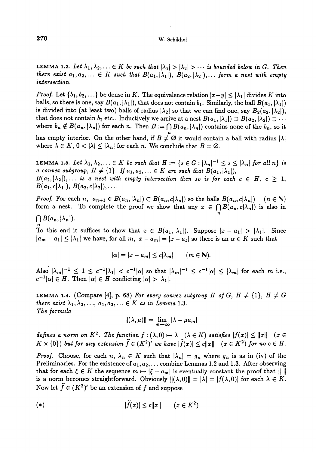#### W. Schikhof

**LEMMA 1.2.** Let  $\lambda_1, \lambda_2, \ldots \in K$  be such that  $|\lambda_1| > |\lambda_2| > \cdots$  is bounded below in G. Then there exist  $a_1, a_2, \ldots \in K$  such that  $B(a_1, |\lambda_1|), B(a_2, |\lambda_2|), \ldots$  form a nest with empty intersection.

*Proof.* Let  $\{b_1, b_2, ...\}$  be dense in K. The equivalence relation  $|x-y| \leq |\lambda_1|$  divides K into balls, so there is one, say  $B(a_1, |\lambda_1|)$ , that does not contain  $b_1$ . Similarly, the ball  $B(a_1, |\lambda_1|)$ is divided into (at least two) balls of radius  $|\lambda_2|$  so that we can find one, say  $B_2(a_2, |\lambda_2|)$ , that does not contain  $b_2$  etc.. Inductively we arrive at a nest  $B(a_1, |\lambda_1|) \supset B(a_2, |\lambda_2|) \supset \cdots$ where  $b_n \notin B(a_n, |\lambda_n|)$  for each n. Then  $B := \bigcap B(a_n, |\lambda_n|)$  contains none of the  $b_n$ , so it

has empty interior. On the other hand, if  $B \neq \emptyset$  it would contain a ball with radius  $|\lambda|$  where  $\lambda \in K$ ,  $0 < |\lambda| \leq |\lambda_n|$  for each n. We conclude that  $B = \emptyset$ .

**LEMMA 1.3.** Let  $\lambda_1, \lambda_2, \ldots \in K$  be such that  $H := \{s \in G : |\lambda_n|^{-1} \leq s \leq |\lambda_n| \text{ for all } n\}$  is a convex subgroup,  $H \neq \{1\}$ . If  $a_1, a_2, \ldots \in K$  are such that  $B(a_1, |\lambda_1|)$ ,  $B(a_2, |\lambda_2|), \ldots$  is a nest with empty intersection then so is for each  $c \in H$ ,  $c \geq 1$ ,  $B(a_1, c|\lambda_1|), B(a_2, c|\lambda_2|), \ldots$ 

*Proof.* For each n,  $a_{n+1} \in B(a_n, |\lambda_n|) \subset B(a_n, c|\lambda_n|)$  so the balls  $B(a_n, c|\lambda_n|)$   $(n \in \mathbb{N})$ form a nest. To complete the proof we show that any  $x \in \bigcap B(a_n, c|\lambda_n|)$  is also in

 $\bigcap B(a_n,|\lambda_n|).$ 

To this end it suffices to show that  $x \in B(a_1, |\lambda_1|)$ . Suppose  $|x - a_1| > |\lambda_1|$ . Since  $|a_m - a_1| \leq |\lambda_1|$  we have, for all m,  $|x - a_m| = |x - a_1|$  so there is an  $\alpha \in K$  such that

$$
|\alpha| = |x - a_m| \le c|\lambda_m| \qquad (m \in \mathbb{N}).
$$

Also  $|\lambda_m|^{-1} \leq 1 \leq c^{-1}|\lambda_1| < c^{-1}|\alpha|$  so that  $|\lambda_m|^{-1} \leq c^{-1}|\alpha| \leq |\lambda_m|$  for each m i.e.,  $|c^{-1}|\alpha| \in H$ . Then  $|\alpha| \in H$  conflicting  $|\alpha| > |\lambda_1|$ .

LEMMA 1.4. (Compare [4], p. 68) For every convex subgroup H of G,  $H \neq \{1\}$ ,  $H \neq G$ there exist  $\lambda_1, \lambda_2, \ldots, a_1, a_2, \ldots \in K$  as in Lemma 1.3. The formula<br> $\|(\lambda,\mu)\| = \lim_{m \to \infty} |\lambda - \mu a_m|$ 

$$
\|(\lambda,\mu)\|=\lim_{m\to\infty}|\lambda-\mu a_m|
$$

defines a norm on  $K^2$ . The function  $f : (\lambda, 0) \mapsto \lambda \quad (\lambda \in K)$  satisfies  $|f(x)| \leq ||x|| \quad (x \in$  $K \times \{0\}$ ) but for any extension  $\widetilde{f} \in (K^2)'$  we have  $|\widetilde{f}(x)| \le c||x||$   $(x \in K^2)$  for no  $c \in H$ .

*Proof.* Choose, for each  $n, \lambda_n \in K$  such that  $|\lambda_n| = g_n$  where  $g_n$  is as in (iv) of the Preliminaries. For the existence of  $a_1, a_2, \ldots$  combine Lemmas 1.2 and 1.3. After observing that for each  $\xi \in K$  the sequence  $m \mapsto |\xi - a_m|$  is eventually constant the proof that  $|| \ ||$ <br>is a norm becomes straightforward. Obviously  $||(\lambda, 0)|| = |\lambda| = |f(\lambda, 0)|$  for each  $\lambda \in K$ . Now let  $\tilde{f} \in (K^2)'$  be an extension of f and suppose

$$
|\tilde{f}(x)| \le c||x|| \qquad (x \in K^2)
$$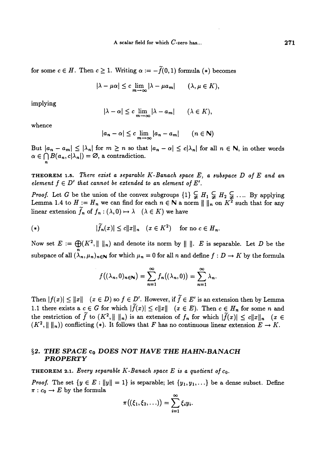for some  $c \in H$ . Then  $c \geq 1$ . Writing  $\alpha := -\widetilde{f}(0,1)$  formula (\*) becomes

$$
|\lambda - \mu \alpha| \leq c \lim_{m \to \infty} |\lambda - \mu a_m| \qquad (\lambda, \mu \in K),
$$

implying

$$
|\lambda - \alpha| \leq c \lim_{m \to \infty} |\lambda - a_m| \qquad (\lambda \in K),
$$

whence

$$
|a_n - \alpha| \leq c \lim_{m \to \infty} |a_n - a_m| \qquad (n \in \mathbb{N})
$$

But  $|a_n - a_m| \leq |\lambda_n|$  for  $m \geq n$  so that  $|a_n - \alpha| \leq c |\lambda_n|$  for all  $n \in \mathbb{N}$ , in other words  $\alpha \in \bigcap B(a_n, c|\lambda_n|) = \varnothing$ , a contradiction.

**THEOREM 1.5.** There exist a separable K-Banach space  $E$ , a subspace  $D$  of  $E$  and an element  $f \in D'$  that cannot be extended to an element of E'.

*Proof.* Let G be the union of the convex subgroups  $\{1\} \subsetneq H_1 \subsetneq H_2 \subsetneq \ldots$  By applying Lemma 1.4 to  $H := H_n$  we can find for each  $n \in \mathbb{N}$  a norm  $|| \cdot ||_n$  on  $K^2$  such that for any linear extension  $\tilde{f}_n$  of  $f_n : (\lambda, 0) \mapsto \lambda \quad (\lambda \in K)$  we have

$$
(*) \qquad |\tilde{f}_n(x)| \le c \|x\|_n \quad (x \in K^2) \quad \text{for no } c \in H_n.
$$

Now set  $E := \bigoplus (K^2, ||||_n)$  and denote its norm by  $||||. E$  is separable. Let D be the subspace of all  $(\lambda_n, \mu_n)_{n\in\mathbb{N}}$  for which  $\mu_n = 0$  for all n and define  $f : D \to K$  by the formula

$$
f((\lambda_n,0)_{n\in\mathbb{N}})=\sum_{n=1}^{\infty}f_n((\lambda_n,0))=\sum_{n=1}^{\infty}\lambda_n.
$$

Then  $|f(x)| \le ||x||$   $(x \in D)$  so  $f \in D'$ . However, if  $\widetilde{f} \in E'$  is an extension then by Lemma 1.1 there exists a  $c \in G$  for which  $|\tilde{f}(x)| \le c ||x||$   $(x \in E)$ . Then  $c \in H_n$  for some n and the restriction of  $\tilde{f}$  to  $(K^2, \|\ \|_n)$  is an extension of  $f_n$  for which  $|\tilde{f}(x)| \leq c \|x\|_n$   $(x \in$  $(K^2, || ||_n))$  conflicting (\*). It follows that F has no continuous linear extension  $E \to K$ .

## §2. THE SPACE c<sub>0</sub> DOES NOT HAVE THE HAHN-BANACH PROPERTY

**THEOREM 2.1.** Every separable K-Banach space E is a quotient of  $c_0$ .

*Proof.* The set  $\{y \in E : ||y|| = 1\}$  is separable; let  $\{y_1, y_1,...\}$  be a dense subset. Define  $\pi : c_0 \to E$  by the formula

$$
\pi\big((\xi_1,\xi_2,\ldots)\big)=\sum_{i=1}^\infty \xi_i y_i.
$$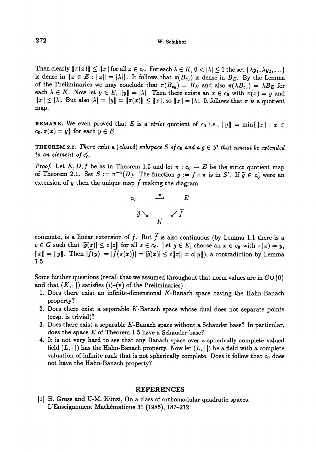#### W. Schikhof

Then clearly  $\|\pi(x)\| \le \|x\|$  for all  $x \in c_0$ . For each  $\lambda \in K$ ,  $0 < |\lambda| \le 1$  the set  $\{\lambda y_1, \lambda y_2, \ldots\}$  is dense in  $\{x \in E : ||x|| = |\lambda|\}$ . It follows that  $\pi(B_{c_0})$  is dense in  $B_E$ . By the Lemma of the Preliminaries we may conclude that  $\pi(B_{c_0}) = B_E$  and also  $\pi(\lambda B_{c_0}) = \lambda B_E$  for each  $\lambda \in K$ . Now let  $y \in E$ ,  $||y|| = |\lambda|$ . Then there exists an  $x \in c_0$  with  $\pi(x) = y$  and  $||x|| \leq |\lambda|$ . But also  $|\lambda| = ||y|| = ||\pi(x)|| \leq ||x||$ , so  $||x|| = |\lambda|$ . It follows that  $\pi$  is a quotient map.

REMARK. We even proved that E is a strict quotient of  $c_0$  i.e.,  $||y|| = \min{||x|| : x \in$  $c_0, \pi(x) = y$  for each  $y \in E$ .

**THEOREM 2.2.** There exist a (closed) subspace S of  $c_0$  and a  $g \in S'$  that cannot be extended to an element of  $c'_0$ .

*Proof.* Let E, D, f be as in Theorem 1.5 and let  $\pi$  :  $c_0 \rightarrow E$  be the strict quotient map of Theorem 2.1. Set  $S := \pi^{-1}(D)$ . The function  $g := f \circ \pi$  is in  $S'$ . If  $\widetilde{g} \in c'_0$  were an extension of g then the unique map  $\tilde{f}$  making the diagram



commute, is a linear extension of f. But  $\tilde{f}$  is also continuous (by Lemma 1.1 there is a  $c \in G$  such that  $|\tilde{g}(z)| \le c||z||$  for all  $z \in c_0$ . Let  $y \in E$ , choose an  $x \in c_0$  with  $\pi(x) = y$ ,  $||x|| = ||y||$ . Then  $|\tilde{f}(y)| = |\tilde{f}(\pi(x))| = |\tilde{g}(x)| \le c||x|| = c||y||$ , a contradiction by Lemma 1.5.

Some further questions (recall that we assumed throughout that norm values are in  $G \cup \{0\}$ and that  $(K, \vert \vert)$  satisfies (i)-(v) of the Preliminaries) :

- 1. Does there exist an infinite-dimensional  $K$ -Banach space having the Hahn-Banach property?
- 2. Does there exist a separable  $K$ -Banach space whose dual does not separate points (resp. is trivial)?
- 3. Does there exist a separable  $K$ -Banach space without a Schauder base? In particular, does the space E of Theorem 1.5 have a Schauder base?
- 4. It is not very hard to see that any Banach space over a spherically complete valued field  $(L, \vert \cdot \vert)$  has the Hahn-Banach property. Now let  $(L, \vert \cdot \vert)$  be a field with a complete valuation of infinite rank that is not spherically complete. Does it follow that  $c_0$  does not have the Hahn-Banach property?

## REFERENCES

[1] H. Gross and U-M. Künzi, On a class of orthomodular quadratic spaces. L'Enseignement Mathématique 31 (1985), 187-212.